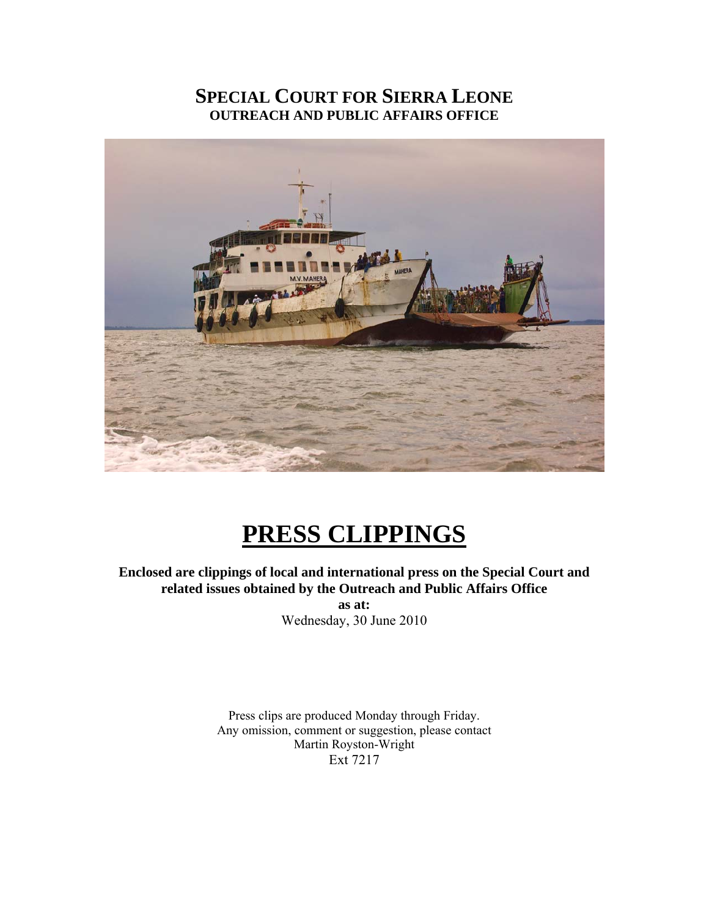# **SPECIAL COURT FOR SIERRA LEONE OUTREACH AND PUBLIC AFFAIRS OFFICE**



# **PRESS CLIPPINGS**

**Enclosed are clippings of local and international press on the Special Court and related issues obtained by the Outreach and Public Affairs Office as at:** 

Wednesday, 30 June 2010

Press clips are produced Monday through Friday. Any omission, comment or suggestion, please contact Martin Royston-Wright Ext 7217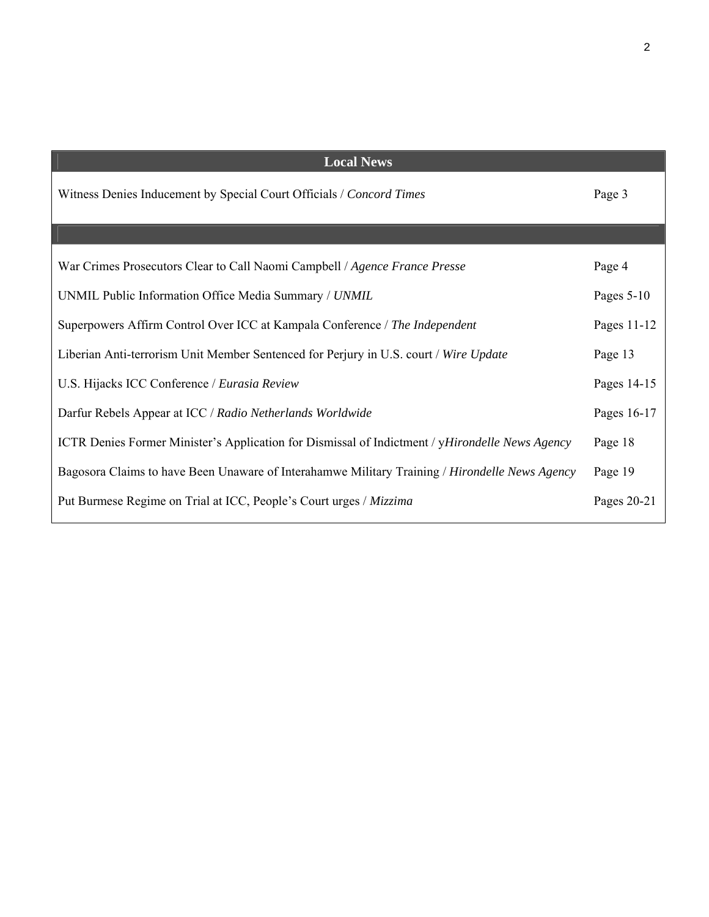| <b>Local News</b>                                                                               |              |
|-------------------------------------------------------------------------------------------------|--------------|
| Witness Denies Inducement by Special Court Officials / Concord Times                            | Page 3       |
|                                                                                                 |              |
| War Crimes Prosecutors Clear to Call Naomi Campbell / Agence France Presse                      | Page 4       |
| UNMIL Public Information Office Media Summary / UNMIL                                           | Pages $5-10$ |
| Superpowers Affirm Control Over ICC at Kampala Conference / The Independent                     | Pages 11-12  |
| Liberian Anti-terrorism Unit Member Sentenced for Perjury in U.S. court / Wire Update           | Page 13      |
| U.S. Hijacks ICC Conference / Eurasia Review                                                    | Pages 14-15  |
| Darfur Rebels Appear at ICC / Radio Netherlands Worldwide                                       | Pages 16-17  |
| ICTR Denies Former Minister's Application for Dismissal of Indictment / yHirondelle News Agency | Page 18      |
| Bagosora Claims to have Been Unaware of Interahamwe Military Training / Hirondelle News Agency  | Page 19      |
| Put Burmese Regime on Trial at ICC, People's Court urges / Mizzima                              | Pages 20-21  |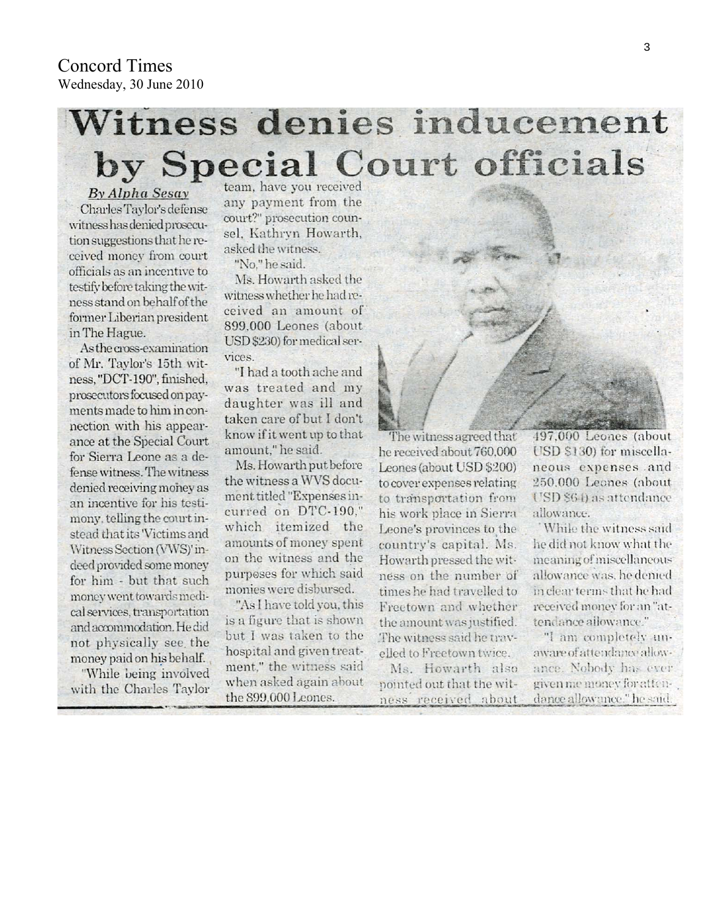# Witness denies inducement by Special Court officials

By Alpha Sesay Charles Taylor's defense witness has denied prosecution suggestions that he received money from court officials as an incentive to testify before taking the witness stand on behalf of the former Liberian president in The Hague.

As the cross-examination of Mr. Taylor's 15th witness, "DCT-190", finished, prosecutors focused on payments made to him in connection with his appearance at the Special Court for Sierra Leone as a defense witness. The witness denied receiving money as an incentive for his testimony, telling the court instead that its Victims and Witness Section (VWS)' indeed provided some money for him - but that such money went towards medical services, transportation and accommodation. He did not physically see the money paid on his behalf.

"While being involved with the Charles Taylor

team, have you received any payment from the court?" prosecution counsel. Kathryn Howarth. asked the witness.

"No." he said.

Ms. Howarth asked the witness whether he had received an amount of 899,000 Leones (about USD \$230) for medical services.

"I had a tooth ache and was treated and my daughter was ill and taken care of but I don't know if it went up to that amount." he said.

Ms. Howarth put before the witness a WVS document titled "Expenses incurred on DTC-190." which itemized the amounts of money spent on the witness and the purposes for which said monies were disbursed.

"As I have told you, this is a figure that is shown but I was taken to the hospital and given treatment," the witness said when asked again about the 899,000 Leones.

The witness agreed that he received about 760,000 Leones (about USD \$200) to cover expenses relating to transportation from his work place in Sierra Leone's provinces to the country's capital. Ms. Howarth pressed the witness on the number of times he had travelled to Freetown and whether the amount was justified. The witness said he travelled to Freetown twice.

Ms. Howarth also pointed out that the witness received about

497,000 Leones (about USD \$130) for miscellaneous expenses and 250,000 Leones (about USD \$64) as attendance allowance.

While the witness said he did not know what the meaning of miscellaneous allowance was, he denied in clear terms that he had received money for an "attendance allowance."

"I am completely unaware of attendance allowance. Nobody has ever given me money for attendance allowance." he said.

Concord Times Wednesday, 30 June 2010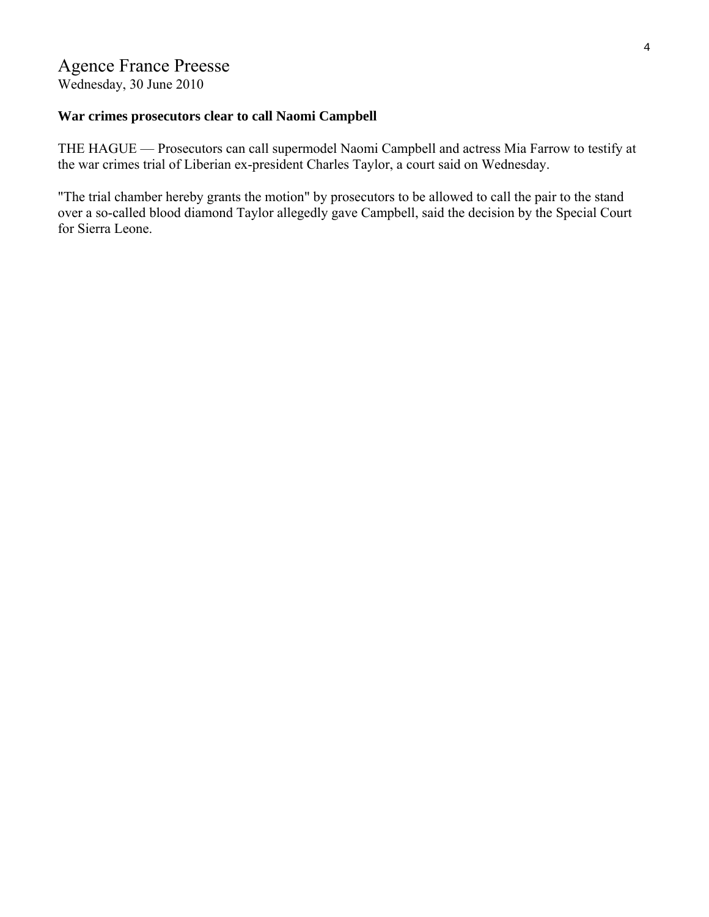# Agence France Preesse

Wednesday, 30 June 2010

# **War crimes prosecutors clear to call Naomi Campbell**

THE HAGUE — Prosecutors can call supermodel Naomi Campbell and actress Mia Farrow to testify at the war crimes trial of Liberian ex-president Charles Taylor, a court said on Wednesday.

"The trial chamber hereby grants the motion" by prosecutors to be allowed to call the pair to the stand over a so-called blood diamond Taylor allegedly gave Campbell, said the decision by the Special Court for Sierra Leone.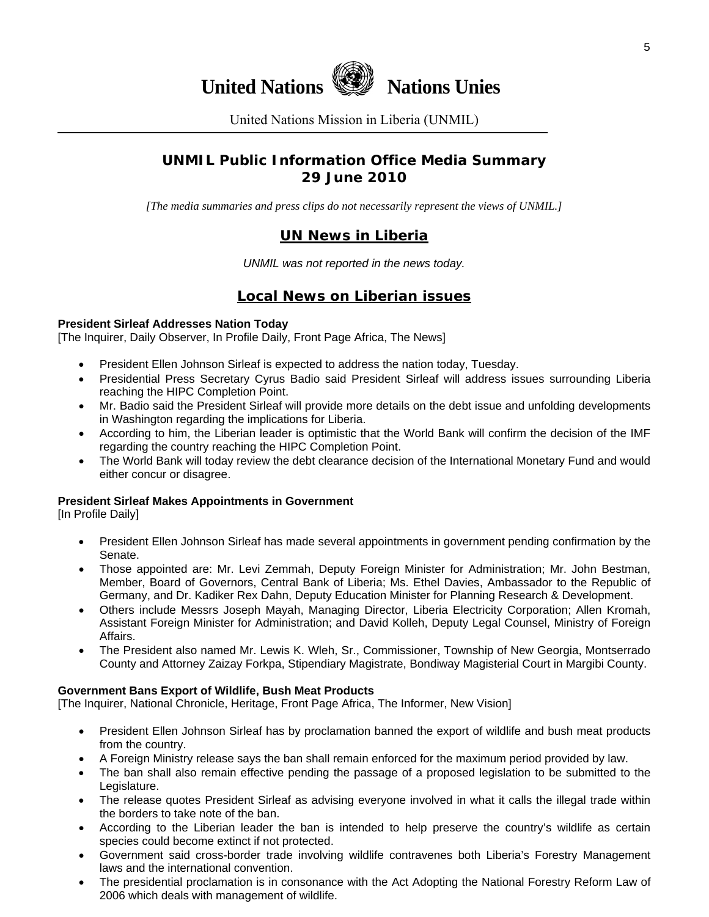

United Nations Mission in Liberia (UNMIL)

# **UNMIL Public Information Office Media Summary 29 June 2010**

*[The media summaries and press clips do not necessarily represent the views of UNMIL.]* 

# **UN News in Liberia**

*UNMIL was not reported in the news today.* 

# **Local News on Liberian issues**

#### **President Sirleaf Addresses Nation Today**

[The Inquirer, Daily Observer, In Profile Daily, Front Page Africa, The News]

- President Ellen Johnson Sirleaf is expected to address the nation today, Tuesday.
- Presidential Press Secretary Cyrus Badio said President Sirleaf will address issues surrounding Liberia reaching the HIPC Completion Point.
- Mr. Badio said the President Sirleaf will provide more details on the debt issue and unfolding developments in Washington regarding the implications for Liberia.
- According to him, the Liberian leader is optimistic that the World Bank will confirm the decision of the IMF regarding the country reaching the HIPC Completion Point.
- The World Bank will today review the debt clearance decision of the International Monetary Fund and would either concur or disagree.

#### **President Sirleaf Makes Appointments in Government**

[In Profile Daily]

- President Ellen Johnson Sirleaf has made several appointments in government pending confirmation by the Senate.
- Those appointed are: Mr. Levi Zemmah, Deputy Foreign Minister for Administration; Mr. John Bestman, Member, Board of Governors, Central Bank of Liberia; Ms. Ethel Davies, Ambassador to the Republic of Germany, and Dr. Kadiker Rex Dahn, Deputy Education Minister for Planning Research & Development.
- Others include Messrs Joseph Mayah, Managing Director, Liberia Electricity Corporation; Allen Kromah, Assistant Foreign Minister for Administration; and David Kolleh, Deputy Legal Counsel, Ministry of Foreign Affairs.
- The President also named Mr. Lewis K. Wleh, Sr., Commissioner, Township of New Georgia, Montserrado County and Attorney Zaizay Forkpa, Stipendiary Magistrate, Bondiway Magisterial Court in Margibi County.

#### **Government Bans Export of Wildlife, Bush Meat Products**

[The Inquirer, National Chronicle, Heritage, Front Page Africa, The Informer, New Vision]

- President Ellen Johnson Sirleaf has by proclamation banned the export of wildlife and bush meat products from the country.
- A Foreign Ministry release says the ban shall remain enforced for the maximum period provided by law.
- The ban shall also remain effective pending the passage of a proposed legislation to be submitted to the Legislature.
- The release quotes President Sirleaf as advising everyone involved in what it calls the illegal trade within the borders to take note of the ban.
- According to the Liberian leader the ban is intended to help preserve the country's wildlife as certain species could become extinct if not protected.
- Government said cross-border trade involving wildlife contravenes both Liberia's Forestry Management laws and the international convention.
- The presidential proclamation is in consonance with the Act Adopting the National Forestry Reform Law of 2006 which deals with management of wildlife.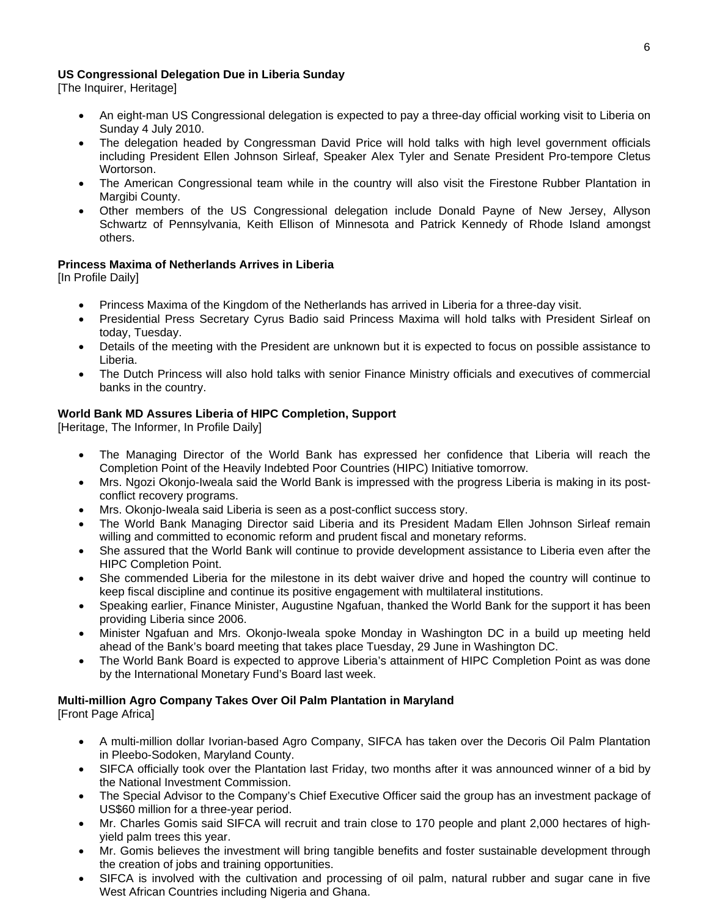#### **US Congressional Delegation Due in Liberia Sunday**

[The Inquirer, Heritage]

- An eight-man US Congressional delegation is expected to pay a three-day official working visit to Liberia on Sunday 4 July 2010.
- The delegation headed by Congressman David Price will hold talks with high level government officials including President Ellen Johnson Sirleaf, Speaker Alex Tyler and Senate President Pro-tempore Cletus Wortorson.
- The American Congressional team while in the country will also visit the Firestone Rubber Plantation in Margibi County.
- Other members of the US Congressional delegation include Donald Payne of New Jersey, Allyson Schwartz of Pennsylvania, Keith Ellison of Minnesota and Patrick Kennedy of Rhode Island amongst others.

#### **Princess Maxima of Netherlands Arrives in Liberia**

[In Profile Daily]

- Princess Maxima of the Kingdom of the Netherlands has arrived in Liberia for a three-day visit.
- Presidential Press Secretary Cyrus Badio said Princess Maxima will hold talks with President Sirleaf on today, Tuesday.
- Details of the meeting with the President are unknown but it is expected to focus on possible assistance to Liberia.
- The Dutch Princess will also hold talks with senior Finance Ministry officials and executives of commercial banks in the country.

#### **World Bank MD Assures Liberia of HIPC Completion, Support**

[Heritage, The Informer, In Profile Daily]

- The Managing Director of the World Bank has expressed her confidence that Liberia will reach the Completion Point of the Heavily Indebted Poor Countries (HIPC) Initiative tomorrow.
- Mrs. Ngozi Okonjo-Iweala said the World Bank is impressed with the progress Liberia is making in its postconflict recovery programs.
- Mrs. Okonjo-Iweala said Liberia is seen as a post-conflict success story.
- The World Bank Managing Director said Liberia and its President Madam Ellen Johnson Sirleaf remain willing and committed to economic reform and prudent fiscal and monetary reforms.
- She assured that the World Bank will continue to provide development assistance to Liberia even after the HIPC Completion Point.
- She commended Liberia for the milestone in its debt waiver drive and hoped the country will continue to keep fiscal discipline and continue its positive engagement with multilateral institutions.
- Speaking earlier, Finance Minister, Augustine Ngafuan, thanked the World Bank for the support it has been providing Liberia since 2006.
- Minister Ngafuan and Mrs. Okonjo-Iweala spoke Monday in Washington DC in a build up meeting held ahead of the Bank's board meeting that takes place Tuesday, 29 June in Washington DC.
- The World Bank Board is expected to approve Liberia's attainment of HIPC Completion Point as was done by the International Monetary Fund's Board last week.

#### **Multi-million Agro Company Takes Over Oil Palm Plantation in Maryland**

[Front Page Africa]

- A multi-million dollar Ivorian-based Agro Company, SIFCA has taken over the Decoris Oil Palm Plantation in Pleebo-Sodoken, Maryland County.
- SIFCA officially took over the Plantation last Friday, two months after it was announced winner of a bid by the National Investment Commission.
- The Special Advisor to the Company's Chief Executive Officer said the group has an investment package of US\$60 million for a three-year period.
- Mr. Charles Gomis said SIFCA will recruit and train close to 170 people and plant 2,000 hectares of highyield palm trees this year.
- Mr. Gomis believes the investment will bring tangible benefits and foster sustainable development through the creation of jobs and training opportunities.
- SIFCA is involved with the cultivation and processing of oil palm, natural rubber and sugar cane in five West African Countries including Nigeria and Ghana.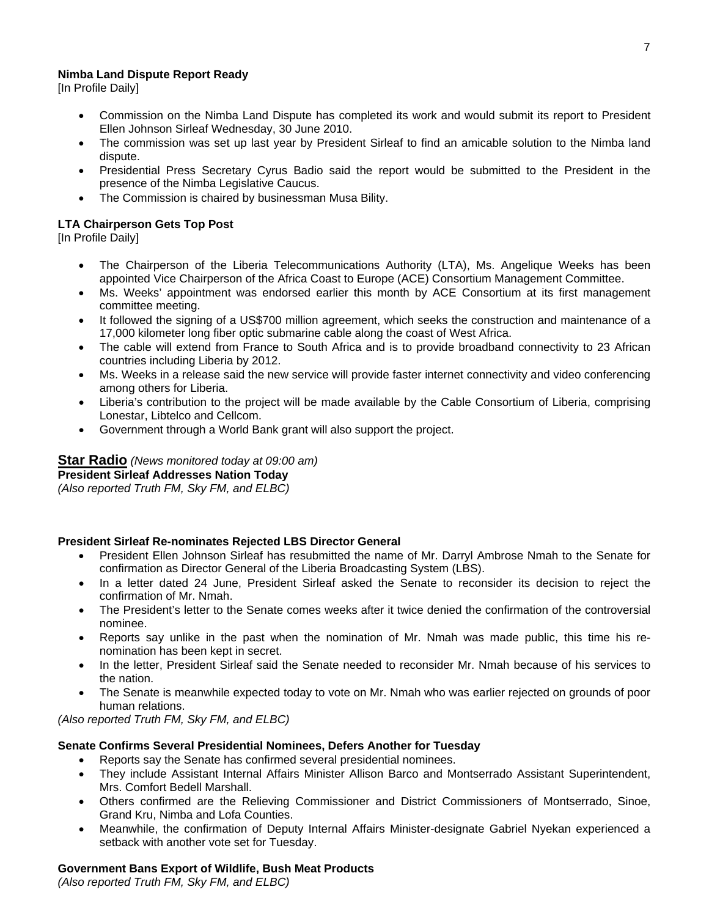#### **Nimba Land Dispute Report Ready**

[In Profile Daily]

- Commission on the Nimba Land Dispute has completed its work and would submit its report to President Ellen Johnson Sirleaf Wednesday, 30 June 2010.
- The commission was set up last year by President Sirleaf to find an amicable solution to the Nimba land dispute.
- Presidential Press Secretary Cyrus Badio said the report would be submitted to the President in the presence of the Nimba Legislative Caucus.
- The Commission is chaired by businessman Musa Bility.

#### **LTA Chairperson Gets Top Post**

[In Profile Daily]

- The Chairperson of the Liberia Telecommunications Authority (LTA), Ms. Angelique Weeks has been appointed Vice Chairperson of the Africa Coast to Europe (ACE) Consortium Management Committee.
- Ms. Weeks' appointment was endorsed earlier this month by ACE Consortium at its first management committee meeting.
- It followed the signing of a US\$700 million agreement, which seeks the construction and maintenance of a 17,000 kilometer long fiber optic submarine cable along the coast of West Africa.
- The cable will extend from France to South Africa and is to provide broadband connectivity to 23 African countries including Liberia by 2012.
- Ms. Weeks in a release said the new service will provide faster internet connectivity and video conferencing among others for Liberia.
- Liberia's contribution to the project will be made available by the Cable Consortium of Liberia, comprising Lonestar, Libtelco and Cellcom.
- Government through a World Bank grant will also support the project.

**Star Radio** *(News monitored today at 09:00 am)* **President Sirleaf Addresses Nation Today**  *(Also reported Truth FM, Sky FM, and ELBC)*

### **President Sirleaf Re-nominates Rejected LBS Director General**

- President Ellen Johnson Sirleaf has resubmitted the name of Mr. Darryl Ambrose Nmah to the Senate for confirmation as Director General of the Liberia Broadcasting System (LBS).
- In a letter dated 24 June, President Sirleaf asked the Senate to reconsider its decision to reject the confirmation of Mr. Nmah.
- The President's letter to the Senate comes weeks after it twice denied the confirmation of the controversial nominee.
- Reports say unlike in the past when the nomination of Mr. Nmah was made public, this time his renomination has been kept in secret.
- In the letter, President Sirleaf said the Senate needed to reconsider Mr. Nmah because of his services to the nation.
- The Senate is meanwhile expected today to vote on Mr. Nmah who was earlier rejected on grounds of poor human relations.

*(Also reported Truth FM, Sky FM, and ELBC)*

#### **Senate Confirms Several Presidential Nominees, Defers Another for Tuesday**

- Reports say the Senate has confirmed several presidential nominees.
- They include Assistant Internal Affairs Minister Allison Barco and Montserrado Assistant Superintendent, Mrs. Comfort Bedell Marshall.
- Others confirmed are the Relieving Commissioner and District Commissioners of Montserrado, Sinoe, Grand Kru, Nimba and Lofa Counties.
- Meanwhile, the confirmation of Deputy Internal Affairs Minister-designate Gabriel Nyekan experienced a setback with another vote set for Tuesday.

#### **Government Bans Export of Wildlife, Bush Meat Products**

*(Also reported Truth FM, Sky FM, and ELBC)*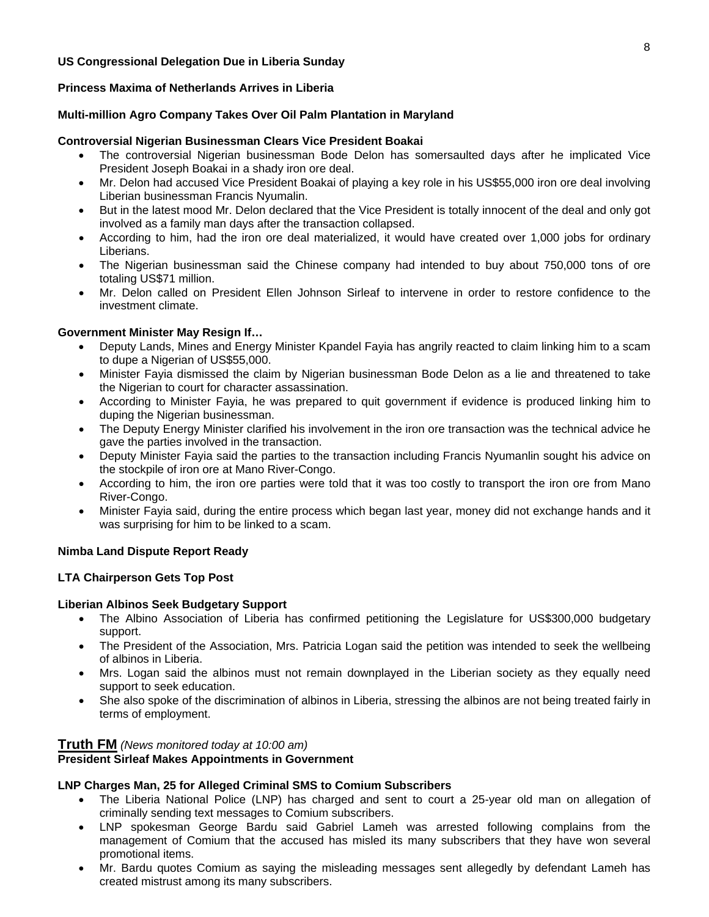#### **US Congressional Delegation Due in Liberia Sunday**

#### **Princess Maxima of Netherlands Arrives in Liberia**

#### **Multi-million Agro Company Takes Over Oil Palm Plantation in Maryland**

#### **Controversial Nigerian Businessman Clears Vice President Boakai**

- The controversial Nigerian businessman Bode Delon has somersaulted days after he implicated Vice President Joseph Boakai in a shady iron ore deal.
- Mr. Delon had accused Vice President Boakai of playing a key role in his US\$55,000 iron ore deal involving Liberian businessman Francis Nyumalin.
- But in the latest mood Mr. Delon declared that the Vice President is totally innocent of the deal and only got involved as a family man days after the transaction collapsed.
- According to him, had the iron ore deal materialized, it would have created over 1,000 jobs for ordinary Liberians.
- The Nigerian businessman said the Chinese company had intended to buy about 750,000 tons of ore totaling US\$71 million.
- Mr. Delon called on President Ellen Johnson Sirleaf to intervene in order to restore confidence to the investment climate.

#### **Government Minister May Resign If…**

- Deputy Lands, Mines and Energy Minister Kpandel Fayia has angrily reacted to claim linking him to a scam to dupe a Nigerian of US\$55,000.
- Minister Fayia dismissed the claim by Nigerian businessman Bode Delon as a lie and threatened to take the Nigerian to court for character assassination.
- According to Minister Fayia, he was prepared to quit government if evidence is produced linking him to duping the Nigerian businessman.
- The Deputy Energy Minister clarified his involvement in the iron ore transaction was the technical advice he gave the parties involved in the transaction.
- Deputy Minister Fayia said the parties to the transaction including Francis Nyumanlin sought his advice on the stockpile of iron ore at Mano River-Congo.
- According to him, the iron ore parties were told that it was too costly to transport the iron ore from Mano River-Congo.
- Minister Fayia said, during the entire process which began last year, money did not exchange hands and it was surprising for him to be linked to a scam.

#### **Nimba Land Dispute Report Ready**

#### **LTA Chairperson Gets Top Post**

#### **Liberian Albinos Seek Budgetary Support**

- The Albino Association of Liberia has confirmed petitioning the Legislature for US\$300,000 budgetary support.
- The President of the Association, Mrs. Patricia Logan said the petition was intended to seek the wellbeing of albinos in Liberia.
- Mrs. Logan said the albinos must not remain downplayed in the Liberian society as they equally need support to seek education.
- She also spoke of the discrimination of albinos in Liberia, stressing the albinos are not being treated fairly in terms of employment.

#### **Truth FM** *(News monitored today at 10:00 am)*

#### **President Sirleaf Makes Appointments in Government**

#### **LNP Charges Man, 25 for Alleged Criminal SMS to Comium Subscribers**

- The Liberia National Police (LNP) has charged and sent to court a 25-year old man on allegation of criminally sending text messages to Comium subscribers.
- LNP spokesman George Bardu said Gabriel Lameh was arrested following complains from the management of Comium that the accused has misled its many subscribers that they have won several promotional items.
- Mr. Bardu quotes Comium as saying the misleading messages sent allegedly by defendant Lameh has created mistrust among its many subscribers.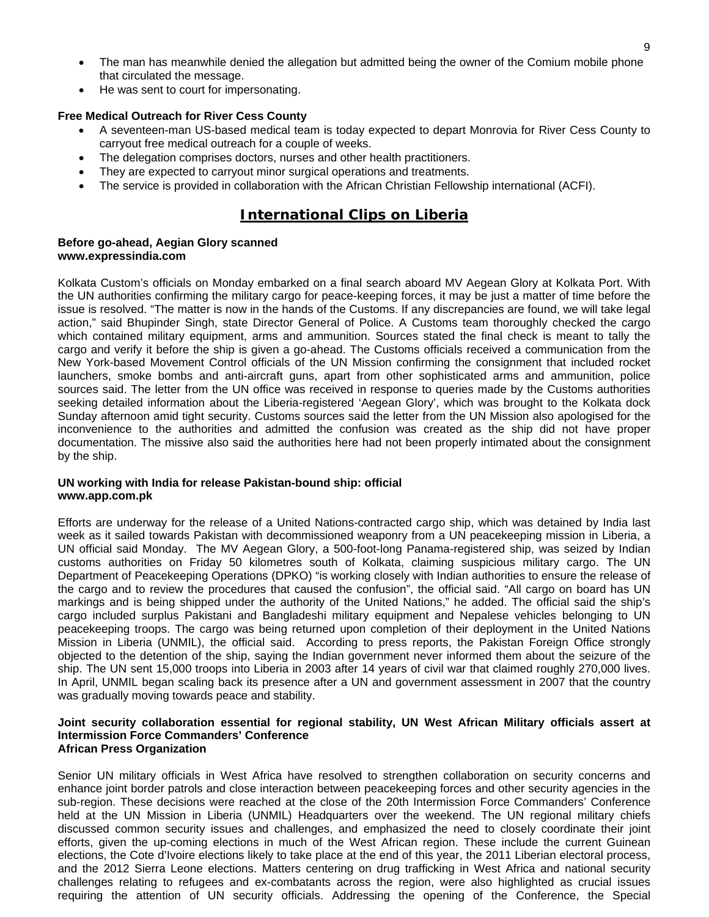- The man has meanwhile denied the allegation but admitted being the owner of the Comium mobile phone that circulated the message.
- He was sent to court for impersonating.

#### **Free Medical Outreach for River Cess County**

- A seventeen-man US-based medical team is today expected to depart Monrovia for River Cess County to carryout free medical outreach for a couple of weeks.
- The delegation comprises doctors, nurses and other health practitioners.
- They are expected to carryout minor surgical operations and treatments.
- The service is provided in collaboration with the African Christian Fellowship international (ACFI).

# **International Clips on Liberia**

#### **Before go-ahead, Aegian Glory scanned www.expressindia.com**

Kolkata Custom's officials on Monday embarked on a final search aboard MV Aegean Glory at Kolkata Port. With the UN authorities confirming the military cargo for peace-keeping forces, it may be just a matter of time before the issue is resolved. "The matter is now in the hands of the Customs. If any discrepancies are found, we will take legal action," said Bhupinder Singh, state Director General of Police. A Customs team thoroughly checked the cargo which contained military equipment, arms and ammunition. Sources stated the final check is meant to tally the cargo and verify it before the ship is given a go-ahead. The Customs officials received a communication from the New York-based Movement Control officials of the UN Mission confirming the consignment that included rocket launchers, smoke bombs and anti-aircraft guns, apart from other sophisticated arms and ammunition, police sources said. The letter from the UN office was received in response to queries made by the Customs authorities seeking detailed information about the Liberia-registered 'Aegean Glory', which was brought to the Kolkata dock Sunday afternoon amid tight security. Customs sources said the letter from the UN Mission also apologised for the inconvenience to the authorities and admitted the confusion was created as the ship did not have proper documentation. The missive also said the authorities here had not been properly intimated about the consignment by the ship.

#### **UN working with India for release Pakistan-bound ship: official www.app.com.pk**

Efforts are underway for the release of a United Nations-contracted cargo ship, which was detained by India last week as it sailed towards Pakistan with decommissioned weaponry from a UN peacekeeping mission in Liberia, a UN official said Monday. The MV Aegean Glory, a 500-foot-long Panama-registered ship, was seized by Indian customs authorities on Friday 50 kilometres south of Kolkata, claiming suspicious military cargo. The UN Department of Peacekeeping Operations (DPKO) "is working closely with Indian authorities to ensure the release of the cargo and to review the procedures that caused the confusion", the official said. "All cargo on board has UN markings and is being shipped under the authority of the United Nations," he added. The official said the ship's cargo included surplus Pakistani and Bangladeshi military equipment and Nepalese vehicles belonging to UN peacekeeping troops. The cargo was being returned upon completion of their deployment in the United Nations Mission in Liberia (UNMIL), the official said. According to press reports, the Pakistan Foreign Office strongly objected to the detention of the ship, saying the Indian government never informed them about the seizure of the ship. The UN sent 15,000 troops into Liberia in 2003 after 14 years of civil war that claimed roughly 270,000 lives. In April, UNMIL began scaling back its presence after a UN and government assessment in 2007 that the country was gradually moving towards peace and stability.

#### **Joint security collaboration essential for regional stability, UN West African Military officials assert at Intermission Force Commanders' Conference African Press Organization**

Senior UN military officials in West Africa have resolved to strengthen collaboration on security concerns and enhance joint border patrols and close interaction between peacekeeping forces and other security agencies in the sub-region. These decisions were reached at the close of the 20th Intermission Force Commanders' Conference held at the UN Mission in Liberia (UNMIL) Headquarters over the weekend. The UN regional military chiefs discussed common security issues and challenges, and emphasized the need to closely coordinate their joint efforts, given the up-coming elections in much of the West African region. These include the current Guinean elections, the Cote d'Ivoire elections likely to take place at the end of this year, the 2011 Liberian electoral process, and the 2012 Sierra Leone elections. Matters centering on drug trafficking in West Africa and national security challenges relating to refugees and ex-combatants across the region, were also highlighted as crucial issues requiring the attention of UN security officials. Addressing the opening of the Conference, the Special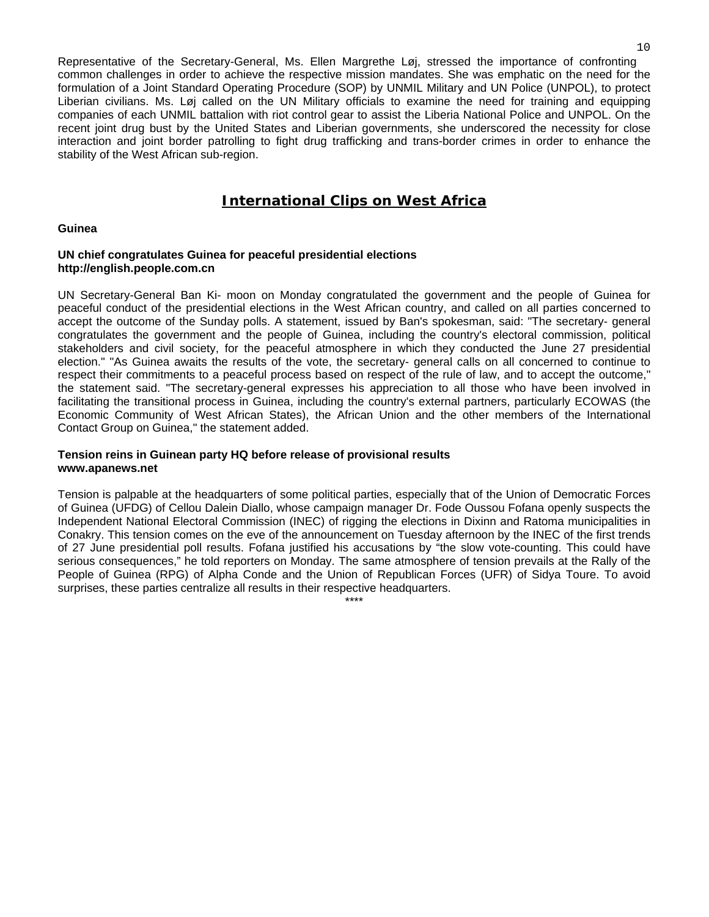Representative of the Secretary-General, Ms. Ellen Margrethe Løj, stressed the importance of confronting common challenges in order to achieve the respective mission mandates. She was emphatic on the need for the formulation of a Joint Standard Operating Procedure (SOP) by UNMIL Military and UN Police (UNPOL), to protect Liberian civilians. Ms. Løj called on the UN Military officials to examine the need for training and equipping companies of each UNMIL battalion with riot control gear to assist the Liberia National Police and UNPOL. On the recent joint drug bust by the United States and Liberian governments, she underscored the necessity for close interaction and joint border patrolling to fight drug trafficking and trans-border crimes in order to enhance the stability of the West African sub-region.

# **International Clips on West Africa**

#### **Guinea**

#### **UN chief congratulates Guinea for peaceful presidential elections http://english.people.com.cn**

UN Secretary-General Ban Ki- moon on Monday congratulated the government and the people of Guinea for peaceful conduct of the presidential elections in the West African country, and called on all parties concerned to accept the outcome of the Sunday polls. A statement, issued by Ban's spokesman, said: "The secretary- general congratulates the government and the people of Guinea, including the country's electoral commission, political stakeholders and civil society, for the peaceful atmosphere in which they conducted the June 27 presidential election." "As Guinea awaits the results of the vote, the secretary- general calls on all concerned to continue to respect their commitments to a peaceful process based on respect of the rule of law, and to accept the outcome," the statement said. "The secretary-general expresses his appreciation to all those who have been involved in facilitating the transitional process in Guinea, including the country's external partners, particularly ECOWAS (the Economic Community of West African States), the African Union and the other members of the International Contact Group on Guinea," the statement added.

#### **Tension reins in Guinean party HQ before release of provisional results www.apanews.net**

Tension is palpable at the headquarters of some political parties, especially that of the Union of Democratic Forces of Guinea (UFDG) of Cellou Dalein Diallo, whose campaign manager Dr. Fode Oussou Fofana openly suspects the Independent National Electoral Commission (INEC) of rigging the elections in Dixinn and Ratoma municipalities in Conakry. This tension comes on the eve of the announcement on Tuesday afternoon by the INEC of the first trends of 27 June presidential poll results. Fofana justified his accusations by "the slow vote-counting. This could have serious consequences," he told reporters on Monday. The same atmosphere of tension prevails at the Rally of the People of Guinea (RPG) of Alpha Conde and the Union of Republican Forces (UFR) of Sidya Toure. To avoid surprises, these parties centralize all results in their respective headquarters.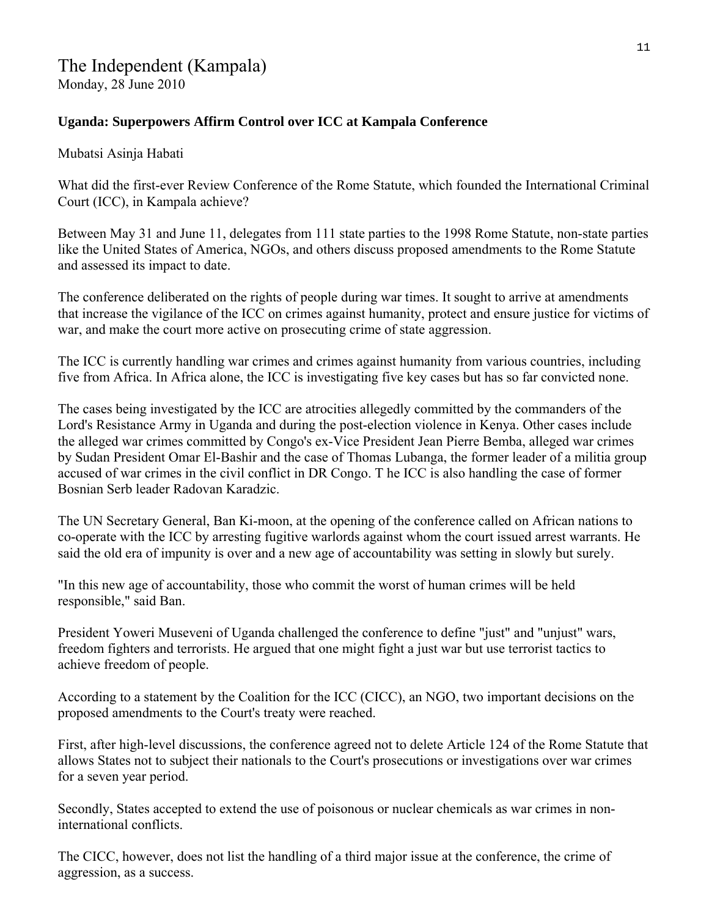# **Uganda: Superpowers Affirm Control over ICC at Kampala Conference**

Mubatsi Asinja Habati

What did the first-ever Review Conference of the Rome Statute, which founded the International Criminal Court (ICC), in Kampala achieve?

Between May 31 and June 11, delegates from 111 state parties to the 1998 Rome Statute, non-state parties like the United States of America, NGOs, and others discuss proposed amendments to the Rome Statute and assessed its impact to date.

The conference deliberated on the rights of people during war times. It sought to arrive at amendments that increase the vigilance of the ICC on crimes against humanity, protect and ensure justice for victims of war, and make the court more active on prosecuting crime of state aggression.

The ICC is currently handling war crimes and crimes against humanity from various countries, including five from Africa. In Africa alone, the ICC is investigating five key cases but has so far convicted none.

The cases being investigated by the ICC are atrocities allegedly committed by the commanders of the Lord's Resistance Army in Uganda and during the post-election violence in Kenya. Other cases include the alleged war crimes committed by Congo's ex-Vice President Jean Pierre Bemba, alleged war crimes by Sudan President Omar El-Bashir and the case of Thomas Lubanga, the former leader of a militia group accused of war crimes in the civil conflict in DR Congo. T he ICC is also handling the case of former Bosnian Serb leader Radovan Karadzic.

The UN Secretary General, Ban Ki-moon, at the opening of the conference called on African nations to co-operate with the ICC by arresting fugitive warlords against whom the court issued arrest warrants. He said the old era of impunity is over and a new age of accountability was setting in slowly but surely.

"In this new age of accountability, those who commit the worst of human crimes will be held responsible," said Ban.

President Yoweri Museveni of Uganda challenged the conference to define "just" and "unjust" wars, freedom fighters and terrorists. He argued that one might fight a just war but use terrorist tactics to achieve freedom of people.

According to a statement by the Coalition for the ICC (CICC), an NGO, two important decisions on the proposed amendments to the Court's treaty were reached.

First, after high-level discussions, the conference agreed not to delete Article 124 of the Rome Statute that allows States not to subject their nationals to the Court's prosecutions or investigations over war crimes for a seven year period.

Secondly, States accepted to extend the use of poisonous or nuclear chemicals as war crimes in noninternational conflicts.

The CICC, however, does not list the handling of a third major issue at the conference, the crime of aggression, as a success.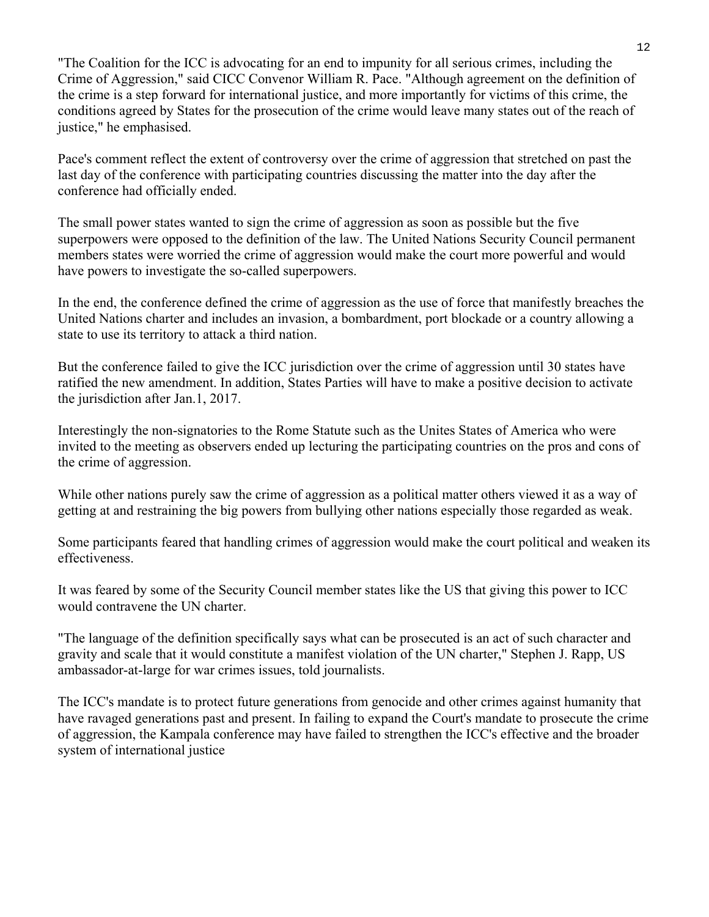"The Coalition for the ICC is advocating for an end to impunity for all serious crimes, including the Crime of Aggression," said CICC Convenor William R. Pace. "Although agreement on the definition of the crime is a step forward for international justice, and more importantly for victims of this crime, the conditions agreed by States for the prosecution of the crime would leave many states out of the reach of justice," he emphasised.

Pace's comment reflect the extent of controversy over the crime of aggression that stretched on past the last day of the conference with participating countries discussing the matter into the day after the conference had officially ended.

The small power states wanted to sign the crime of aggression as soon as possible but the five superpowers were opposed to the definition of the law. The United Nations Security Council permanent members states were worried the crime of aggression would make the court more powerful and would have powers to investigate the so-called superpowers.

In the end, the conference defined the crime of aggression as the use of force that manifestly breaches the United Nations charter and includes an invasion, a bombardment, port blockade or a country allowing a state to use its territory to attack a third nation.

But the conference failed to give the ICC jurisdiction over the crime of aggression until 30 states have ratified the new amendment. In addition, States Parties will have to make a positive decision to activate the jurisdiction after Jan.1, 2017.

Interestingly the non-signatories to the Rome Statute such as the Unites States of America who were invited to the meeting as observers ended up lecturing the participating countries on the pros and cons of the crime of aggression.

While other nations purely saw the crime of aggression as a political matter others viewed it as a way of getting at and restraining the big powers from bullying other nations especially those regarded as weak.

Some participants feared that handling crimes of aggression would make the court political and weaken its effectiveness.

It was feared by some of the Security Council member states like the US that giving this power to ICC would contravene the UN charter.

"The language of the definition specifically says what can be prosecuted is an act of such character and gravity and scale that it would constitute a manifest violation of the UN charter," Stephen J. Rapp, US ambassador-at-large for war crimes issues, told journalists.

The ICC's mandate is to protect future generations from genocide and other crimes against humanity that have ravaged generations past and present. In failing to expand the Court's mandate to prosecute the crime of aggression, the Kampala conference may have failed to strengthen the ICC's effective and the broader system of international justice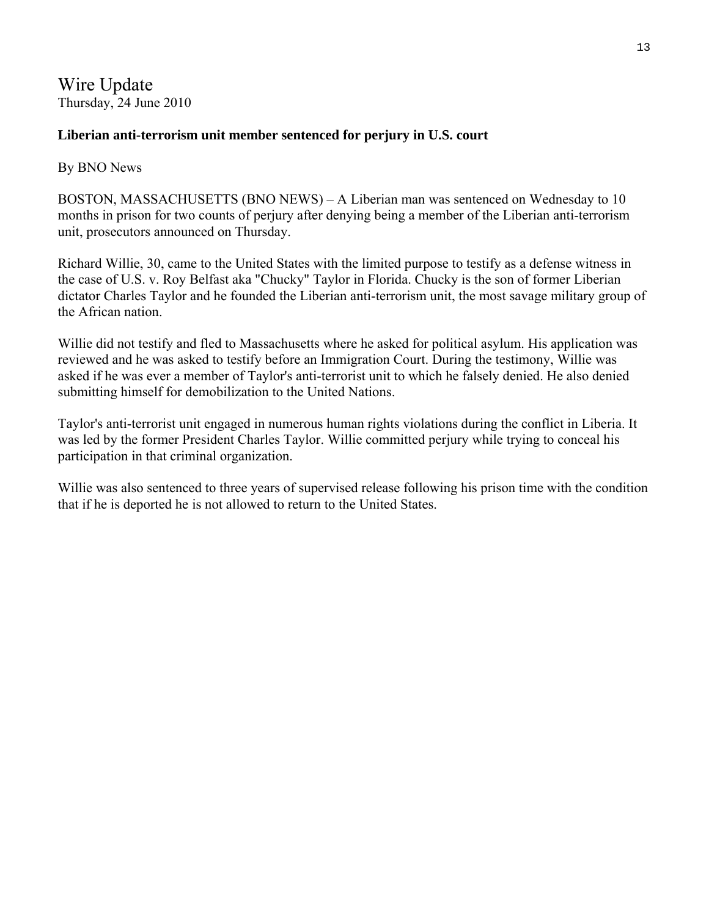Wire Update Thursday, 24 June 2010

# **Liberian anti-terrorism unit member sentenced for perjury in U.S. court**

# By [BNO News](http://wireupdate.com/local/author/bno-news/)

BOSTON, MASSACHUSETTS (BNO NEWS) – A Liberian man was sentenced on Wednesday to 10 months in prison for two counts of perjury after denying being a member of the Liberian anti-terrorism unit, prosecutors announced on Thursday.

Richard Willie, 30, came to the United States with the limited purpose to testify as a defense witness in the case of U.S. v. Roy Belfast aka "Chucky" Taylor in Florida. Chucky is the son of former Liberian dictator Charles Taylor and he founded the Liberian anti-terrorism unit, the most savage military group of the African nation.

Willie did not testify and fled to Massachusetts where he asked for political asylum. His application was reviewed and he was asked to testify before an Immigration Court. During the testimony, Willie was asked if he was ever a member of Taylor's anti-terrorist unit to which he falsely denied. He also denied submitting himself for demobilization to the United Nations.

Taylor's anti-terrorist unit engaged in numerous human rights violations during the conflict in Liberia. It was led by the former President Charles Taylor. Willie committed perjury while trying to conceal his participation in that criminal organization.

Willie was also sentenced to three years of supervised release following his prison time with the condition that if he is deported he is not allowed to return to the United States.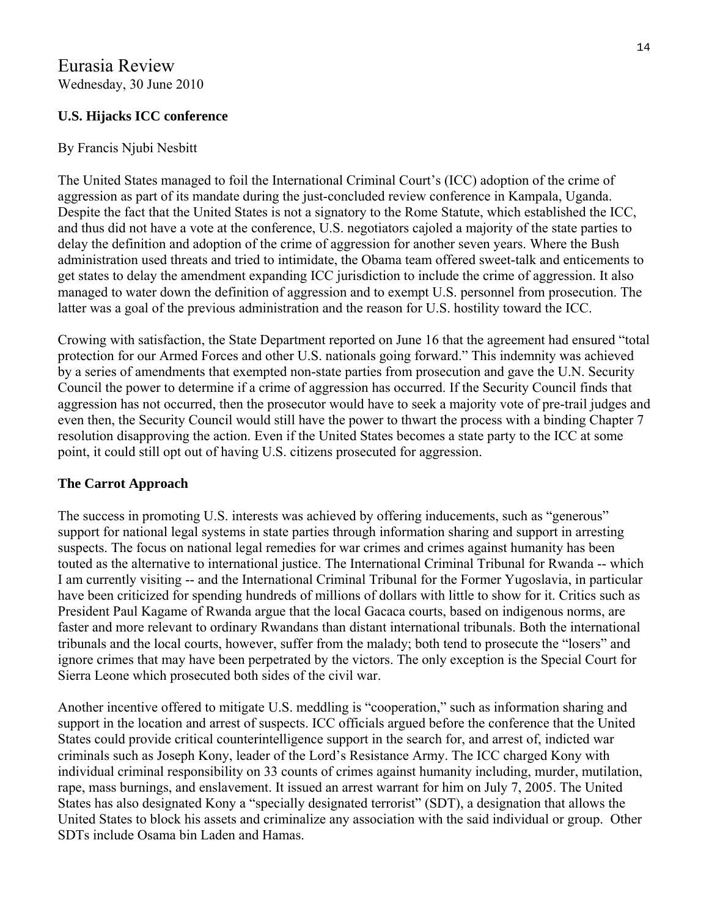# **U.S. Hijacks ICC conference**

# By Francis Njubi Nesbitt

The United States managed to foil the International Criminal Court's (ICC) adoption of the crime of aggression as part of its mandate during the just-concluded review conference in Kampala, Uganda. Despite the fact that the United States is not a signatory to the Rome Statute, which established the ICC, and thus did not have a vote at the conference, U.S. negotiators cajoled a majority of the state parties to delay the definition and adoption of the crime of aggression for another seven years. Where the Bush administration used threats and tried to intimidate, the Obama team offered sweet-talk and enticements to get states to delay the amendment expanding ICC jurisdiction to include the crime of aggression. It also managed to water down the definition of aggression and to exempt U.S. personnel from prosecution. The latter was a goal of the previous administration and the reason for U.S. hostility toward the ICC.

Crowing with satisfaction, the State Department reported on June 16 that the agreement had ensured "total protection for our Armed Forces and other U.S. nationals going forward." This indemnity was achieved by a series of amendments that exempted non-state parties from prosecution and gave the U.N. Security Council the power to determine if a crime of aggression has occurred. If the Security Council finds that aggression has not occurred, then the prosecutor would have to seek a majority vote of pre-trail judges and even then, the Security Council would still have the power to thwart the process with a binding Chapter 7 resolution disapproving the action. Even if the United States becomes a state party to the ICC at some point, it could still opt out of having U.S. citizens prosecuted for aggression.

# **The Carrot Approach**

The success in promoting U.S. interests was achieved by offering inducements, such as "generous" support for national legal systems in state parties through information sharing and support in arresting suspects. The focus on national legal remedies for war crimes and crimes against humanity has been touted as the alternative to international justice. The International Criminal Tribunal for Rwanda -- which I am currently visiting -- and the International Criminal Tribunal for the Former Yugoslavia, in particular have been criticized for spending hundreds of millions of dollars with little to show for it. Critics such as President Paul Kagame of Rwanda argue that the local Gacaca courts, based on indigenous norms, are faster and more relevant to ordinary Rwandans than distant international tribunals. Both the international tribunals and the local courts, however, suffer from the malady; both tend to prosecute the "losers" and ignore crimes that may have been perpetrated by the victors. The only exception is the Special Court for Sierra Leone which prosecuted both sides of the civil war.

Another incentive offered to mitigate U.S. meddling is "cooperation," such as information sharing and support in the location and arrest of suspects. ICC officials argued before the conference that the United States could provide critical counterintelligence support in the search for, and arrest of, indicted war criminals such as Joseph Kony, leader of the Lord's Resistance Army. The ICC charged Kony with individual criminal responsibility on 33 counts of crimes against humanity including, murder, mutilation, rape, mass burnings, and enslavement. It issued an arrest warrant for him on July 7, 2005. The United States has also designated Kony a "specially designated terrorist" (SDT), a designation that allows the United States to block his assets and criminalize any association with the said individual or group. Other SDTs include Osama bin Laden and Hamas.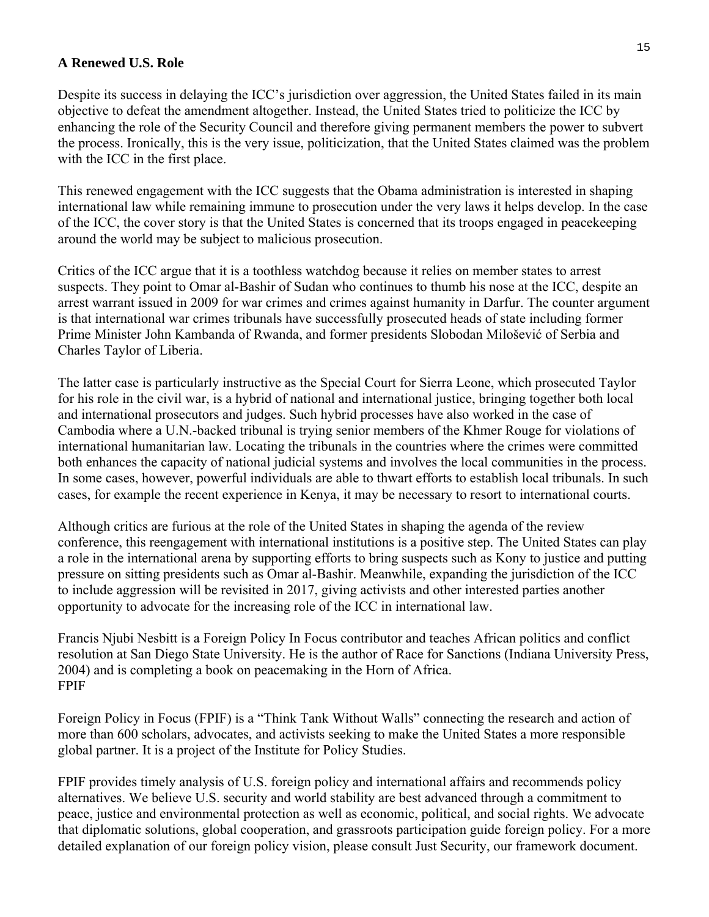## **A Renewed U.S. Role**

Despite its success in delaying the ICC's jurisdiction over aggression, the United States failed in its main objective to defeat the amendment altogether. Instead, the United States tried to politicize the ICC by enhancing the role of the Security Council and therefore giving permanent members the power to subvert the process. Ironically, this is the very issue, politicization, that the United States claimed was the problem with the ICC in the first place.

This renewed engagement with the ICC suggests that the Obama administration is interested in shaping international law while remaining immune to prosecution under the very laws it helps develop. In the case of the ICC, the cover story is that the United States is concerned that its troops engaged in peacekeeping around the world may be subject to malicious prosecution.

Critics of the ICC argue that it is a toothless watchdog because it relies on member states to arrest suspects. They point to Omar al-Bashir of Sudan who continues to thumb his nose at the ICC, despite an arrest warrant issued in 2009 for war crimes and crimes against humanity in Darfur. The counter argument is that international war crimes tribunals have successfully prosecuted heads of state including former Prime Minister John Kambanda of Rwanda, and former presidents Slobodan Milošević of Serbia and Charles Taylor of Liberia.

The latter case is particularly instructive as the Special Court for Sierra Leone, which prosecuted Taylor for his role in the civil war, is a hybrid of national and international justice, bringing together both local and international prosecutors and judges. Such hybrid processes have also worked in the case of Cambodia where a U.N.-backed tribunal is trying senior members of the Khmer Rouge for violations of international humanitarian law. Locating the tribunals in the countries where the crimes were committed both enhances the capacity of national judicial systems and involves the local communities in the process. In some cases, however, powerful individuals are able to thwart efforts to establish local tribunals. In such cases, for example the recent experience in Kenya, it may be necessary to resort to international courts.

Although critics are furious at the role of the United States in shaping the agenda of the review conference, this reengagement with international institutions is a positive step. The United States can play a role in the international arena by supporting efforts to bring suspects such as Kony to justice and putting pressure on sitting presidents such as Omar al-Bashir. Meanwhile, expanding the jurisdiction of the ICC to include aggression will be revisited in 2017, giving activists and other interested parties another opportunity to advocate for the increasing role of the ICC in international law.

Francis Njubi Nesbitt is a Foreign Policy In Focus contributor and teaches African politics and conflict resolution at San Diego State University. He is the author of Race for Sanctions (Indiana University Press, 2004) and is completing a book on peacemaking in the Horn of Africa. FPIF

Foreign Policy in Focus (FPIF) is a "Think Tank Without Walls" connecting the research and action of more than 600 scholars, advocates, and activists seeking to make the United States a more responsible global partner. It is a project of the Institute for Policy Studies.

FPIF provides timely analysis of U.S. foreign policy and international affairs and recommends policy alternatives. We believe U.S. security and world stability are best advanced through a commitment to peace, justice and environmental protection as well as economic, political, and social rights. We advocate that diplomatic solutions, global cooperation, and grassroots participation guide foreign policy. For a more detailed explanation of our foreign policy vision, please consult Just Security, our framework document.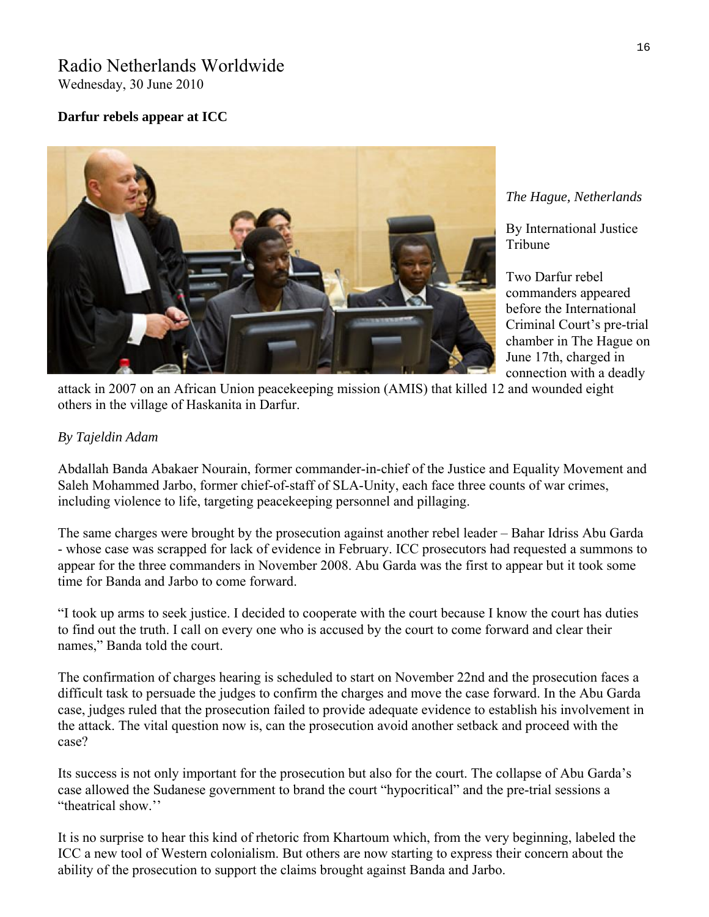# Radio Netherlands Worldwide

Wednesday, 30 June 2010

# **Darfur rebels appear at ICC**



### *The Hague, Netherlands*

By [International Justice](http://www.rnw.nl/international-justice/users/international-justice-tribune)  [Tribune](http://www.rnw.nl/international-justice/users/international-justice-tribune) 

chamber in The Hague on Two Darfur rebel commanders appeared before the International Criminal Court's pre-trial June 17th, charged in connection with a deadly

attack in 2007 on an African Union peacekeeping mission (AMIS) that killed 12 and wounded eight others in the village of Haskanita in Darfur.

# *By Tajeldin Adam*

Abdallah Banda Abakaer Nourain, former commander-in-chief of the Justice and Equality Movement and Saleh Mohammed Jarbo, former chief-of-staff of SLA-Unity, each face three counts of war crimes, including violence to life, targeting peacekeeping personnel and pillaging.

The same charges were brought by the prosecution against another rebel leader – Bahar Idriss Abu Garda - whose case was scrapped for lack of evidence in February. ICC prosecutors had requested a summons to appear for the three commanders in November 2008. Abu Garda was the first to appear but it took some time for Banda and Jarbo to come forward.

"I took up arms to seek justice. I decided to cooperate with the court because I know the court has duties to find out the truth. I call on every one who is accused by the court to come forward and clear their names," Banda told the court.

The confirmation of charges hearing is scheduled to start on November 22nd and the prosecution faces a difficult task to persuade the judges to confirm the charges and move the case forward. In the Abu Garda case, judges ruled that the prosecution failed to provide adequate evidence to establish his involvement in the attack. The vital question now is, can the prosecution avoid another setback and proceed with the case?

Its success is not only important for the prosecution but also for the court. The collapse of Abu Garda's case allowed the Sudanese government to brand the court "hypocritical" and the pre-trial sessions a "theatrical show.''

It is no surprise to hear this kind of rhetoric from Khartoum which, from the very beginning, labeled the ICC a new tool of Western colonialism. But others are now starting to express their concern about the ability of the prosecution to support the claims brought against Banda and Jarbo.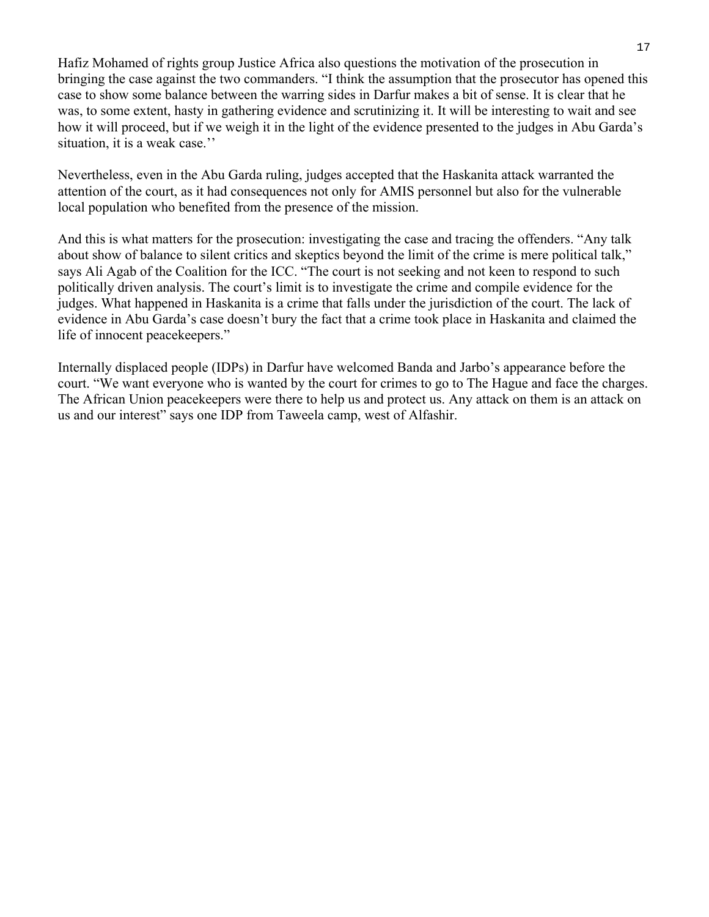Hafiz Mohamed of rights group Justice Africa also questions the motivation of the prosecution in bringing the case against the two commanders. "I think the assumption that the prosecutor has opened this case to show some balance between the warring sides in Darfur makes a bit of sense. It is clear that he was, to some extent, hasty in gathering evidence and scrutinizing it. It will be interesting to wait and see how it will proceed, but if we weigh it in the light of the evidence presented to the judges in Abu Garda's situation, it is a weak case.''

Nevertheless, even in the Abu Garda ruling, judges accepted that the Haskanita attack warranted the attention of the court, as it had consequences not only for AMIS personnel but also for the vulnerable local population who benefited from the presence of the mission.

And this is what matters for the prosecution: investigating the case and tracing the offenders. "Any talk about show of balance to silent critics and skeptics beyond the limit of the crime is mere political talk," says Ali Agab of the Coalition for the ICC. "The court is not seeking and not keen to respond to such politically driven analysis. The court's limit is to investigate the crime and compile evidence for the judges. What happened in Haskanita is a crime that falls under the jurisdiction of the court. The lack of evidence in Abu Garda's case doesn't bury the fact that a crime took place in Haskanita and claimed the life of innocent peacekeepers."

Internally displaced people (IDPs) in Darfur have welcomed Banda and Jarbo's appearance before the court. "We want everyone who is wanted by the court for crimes to go to The Hague and face the charges. The African Union peacekeepers were there to help us and protect us. Any attack on them is an attack on us and our interest" says one IDP from Taweela camp, west of Alfashir.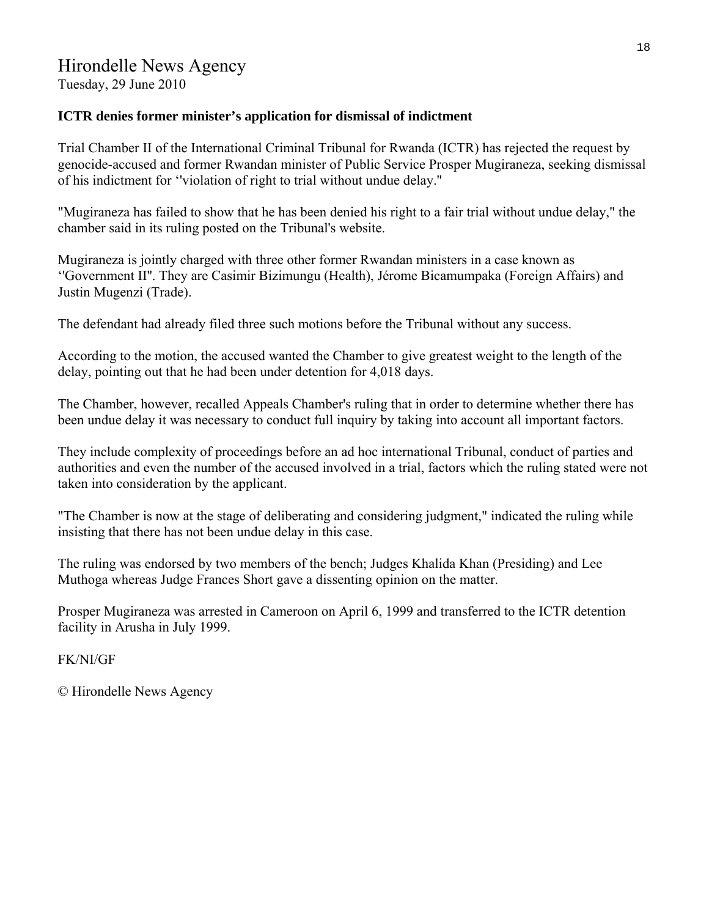Tuesday, 29 June 2010

# **ICTR denies former minister's application for dismissal of indictment**

Trial Chamber II of the International Criminal Tribunal for Rwanda (ICTR) has rejected the request by genocide-accused and former Rwandan minister of Public Service Prosper Mugiraneza, seeking dismissal of his indictment for ''violation of right to trial without undue delay.''

"Mugiraneza has failed to show that he has been denied his right to a fair trial without undue delay," the chamber said in its ruling posted on the Tribunal's website.

Mugiraneza is jointly charged with three other former Rwandan ministers in a case known as ''Government II''. They are Casimir Bizimungu (Health), Jérome Bicamumpaka (Foreign Affairs) and Justin Mugenzi (Trade).

The defendant had already filed three such motions before the Tribunal without any success.

According to the motion, the accused wanted the Chamber to give greatest weight to the length of the delay, pointing out that he had been under detention for 4,018 days.

The Chamber, however, recalled Appeals Chamber's ruling that in order to determine whether there has been undue delay it was necessary to conduct full inquiry by taking into account all important factors.

They include complexity of proceedings before an ad hoc international Tribunal, conduct of parties and authorities and even the number of the accused involved in a trial, factors which the ruling stated were not taken into consideration by the applicant.

"The Chamber is now at the stage of deliberating and considering judgment," indicated the ruling while insisting that there has not been undue delay in this case.

The ruling was endorsed by two members of the bench; Judges Khalida Khan (Presiding) and Lee Muthoga whereas Judge Frances Short gave a dissenting opinion on the matter.

Prosper Mugiraneza was arrested in Cameroon on April 6, 1999 and transferred to the ICTR detention facility in Arusha in July 1999.

FK/NI/GF

© Hirondelle News Agency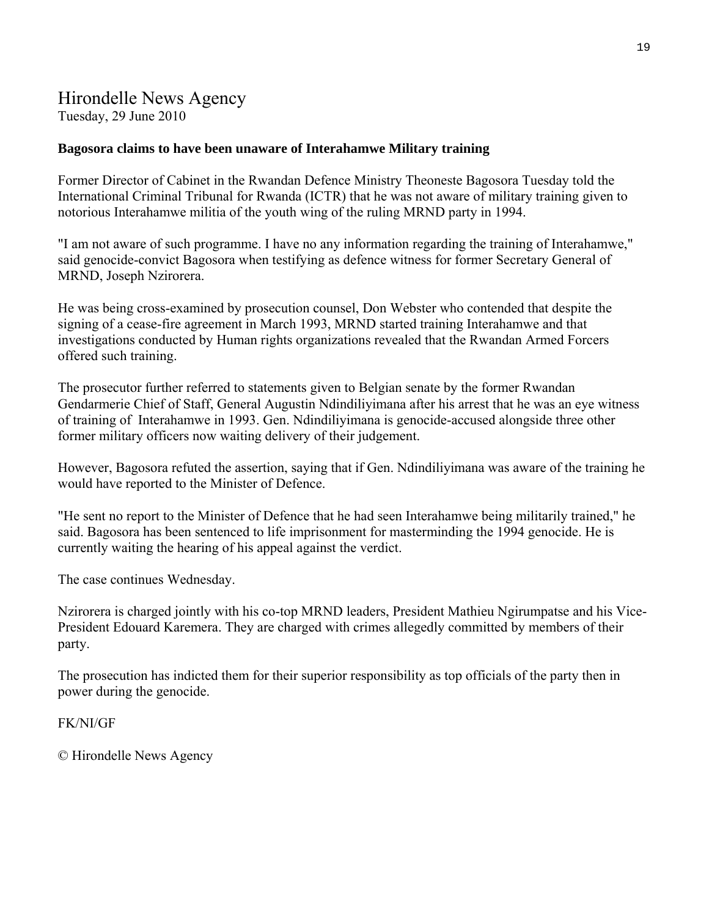# Hirondelle News Agency Tuesday, 29 June 2010

## **Bagosora claims to have been unaware of Interahamwe Military training**

Former Director of Cabinet in the Rwandan Defence Ministry Theoneste Bagosora Tuesday told the International Criminal Tribunal for Rwanda (ICTR) that he was not aware of military training given to notorious Interahamwe militia of the youth wing of the ruling MRND party in 1994.

"I am not aware of such programme. I have no any information regarding the training of Interahamwe," said genocide-convict Bagosora when testifying as defence witness for former Secretary General of MRND, Joseph Nzirorera.

He was being cross-examined by prosecution counsel, Don Webster who contended that despite the signing of a cease-fire agreement in March 1993, MRND started training Interahamwe and that investigations conducted by Human rights organizations revealed that the Rwandan Armed Forcers offered such training.

The prosecutor further referred to statements given to Belgian senate by the former Rwandan Gendarmerie Chief of Staff, General Augustin Ndindiliyimana after his arrest that he was an eye witness of training of Interahamwe in 1993. Gen. Ndindiliyimana is genocide-accused alongside three other former military officers now waiting delivery of their judgement.

However, Bagosora refuted the assertion, saying that if Gen. Ndindiliyimana was aware of the training he would have reported to the Minister of Defence.

"He sent no report to the Minister of Defence that he had seen Interahamwe being militarily trained," he said. Bagosora has been sentenced to life imprisonment for masterminding the 1994 genocide. He is currently waiting the hearing of his appeal against the verdict.

The case continues Wednesday.

Nzirorera is charged jointly with his co-top MRND leaders, President Mathieu Ngirumpatse and his Vice-President Edouard Karemera. They are charged with crimes allegedly committed by members of their party.

The prosecution has indicted them for their superior responsibility as top officials of the party then in power during the genocide.

### FK/NI/GF

© Hirondelle News Agency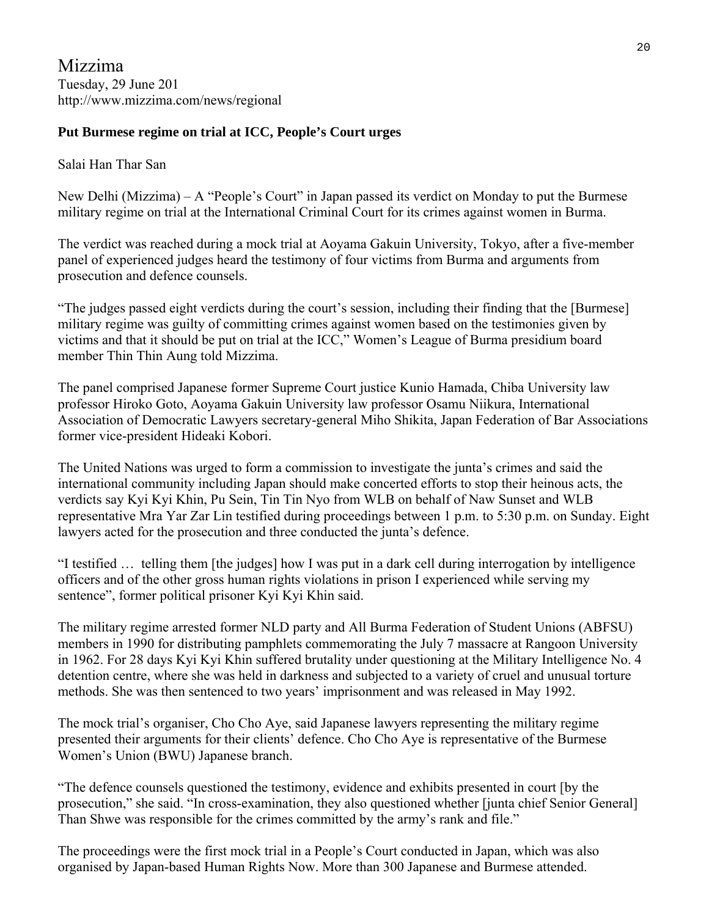Mizzima Tuesday, 29 June 201 http://www.mizzima.com/news/regional

# **Put Burmese regime on trial at ICC, People's Court urges**

Salai Han Thar San

New Delhi (Mizzima) – A "People's Court" in Japan passed its verdict on Monday to put the Burmese military regime on trial at the International Criminal Court for its crimes against women in Burma.

The verdict was reached during a mock trial at Aoyama Gakuin University, Tokyo, after a five-member panel of experienced judges heard the testimony of four victims from Burma and arguments from prosecution and defence counsels.

"The judges passed eight verdicts during the court's session, including their finding that the [Burmese] military regime was guilty of committing crimes against women based on the testimonies given by victims and that it should be put on trial at the ICC," Women's League of Burma presidium board member Thin Thin Aung told Mizzima.

The panel comprised Japanese former Supreme Court justice Kunio Hamada, Chiba University law professor Hiroko Goto, Aoyama Gakuin University law professor Osamu Niikura, International Association of Democratic Lawyers secretary-general Miho Shikita, Japan Federation of Bar Associations former vice-president Hideaki Kobori.

The United Nations was urged to form a commission to investigate the junta's crimes and said the international community including Japan should make concerted efforts to stop their heinous acts, the verdicts say Kyi Kyi Khin, Pu Sein, Tin Tin Nyo from WLB on behalf of Naw Sunset and WLB representative Mra Yar Zar Lin testified during proceedings between 1 p.m. to 5:30 p.m. on Sunday. Eight lawyers acted for the prosecution and three conducted the junta's defence.

"I testified … telling them [the judges] how I was put in a dark cell during interrogation by intelligence officers and of the other gross human rights violations in prison I experienced while serving my sentence", former political prisoner Kyi Kyi Khin said.

The military regime arrested former NLD party and All Burma Federation of Student Unions (ABFSU) members in 1990 for distributing pamphlets commemorating the July 7 massacre at Rangoon University in 1962. For 28 days Kyi Kyi Khin suffered brutality under questioning at the Military Intelligence No. 4 detention centre, where she was held in darkness and subjected to a variety of cruel and unusual torture methods. She was then sentenced to two years' imprisonment and was released in May 1992.

The mock trial's organiser, Cho Cho Aye, said Japanese lawyers representing the military regime presented their arguments for their clients' defence. Cho Cho Aye is representative of the Burmese Women's Union (BWU) Japanese branch.

"The defence counsels questioned the testimony, evidence and exhibits presented in court [by the prosecution," she said. "In cross-examination, they also questioned whether [junta chief Senior General] Than Shwe was responsible for the crimes committed by the army's rank and file."

The proceedings were the first mock trial in a People's Court conducted in Japan, which was also organised by Japan-based Human Rights Now. More than 300 Japanese and Burmese attended.